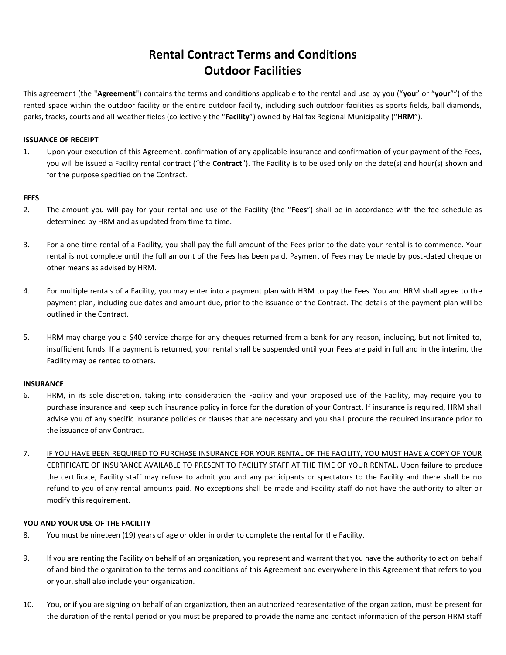# **Rental Contract Terms and Conditions Outdoor Facilities**

This agreement (the "**Agreement**") contains the terms and conditions applicable to the rental and use by you ("**you**" or "**your**"") of the rented space within the outdoor facility or the entire outdoor facility, including such outdoor facilities as sports fields, ball diamonds, parks, tracks, courts and all-weather fields (collectively the "**Facility**") owned by Halifax Regional Municipality ("**HRM**").

## **ISSUANCE OF RECEIPT**

1. Upon your execution of this Agreement, confirmation of any applicable insurance and confirmation of your payment of the Fees, you will be issued a Facility rental contract ("the **Contract**"). The Facility is to be used only on the date(s) and hour(s) shown and for the purpose specified on the Contract.

#### **FEES**

- 2. The amount you will pay for your rental and use of the Facility (the "**Fees**") shall be in accordance with the fee schedule as determined by HRM and as updated from time to time.
- 3. For a one-time rental of a Facility, you shall pay the full amount of the Fees prior to the date your rental is to commence. Your rental is not complete until the full amount of the Fees has been paid. Payment of Fees may be made by post-dated cheque or other means as advised by HRM.
- 4. For multiple rentals of a Facility, you may enter into a payment plan with HRM to pay the Fees. You and HRM shall agree to the payment plan, including due dates and amount due, prior to the issuance of the Contract. The details of the payment plan will be outlined in the Contract.
- 5. HRM may charge you a \$40 service charge for any cheques returned from a bank for any reason, including, but not limited to, insufficient funds. If a payment is returned, your rental shall be suspended until your Fees are paid in full and in the interim, the Facility may be rented to others.

## **INSURANCE**

- 6. HRM, in its sole discretion, taking into consideration the Facility and your proposed use of the Facility, may require you to purchase insurance and keep such insurance policy in force for the duration of your Contract. If insurance is required, HRM shall advise you of any specific insurance policies or clauses that are necessary and you shall procure the required insurance prior to the issuance of any Contract.
- 7. IF YOU HAVE BEEN REQUIRED TO PURCHASE INSURANCE FOR YOUR RENTAL OF THE FACILITY, YOU MUST HAVE A COPY OF YOUR CERTIFICATE OF INSURANCE AVAILABLE TO PRESENT TO FACILITY STAFF AT THE TIME OF YOUR RENTAL**.** Upon failure to produce the certificate, Facility staff may refuse to admit you and any participants or spectators to the Facility and there shall be no refund to you of any rental amounts paid. No exceptions shall be made and Facility staff do not have the authority to alter or modify this requirement.

## **YOU AND YOUR USE OF THE FACILITY**

- 8. You must be nineteen (19) years of age or older in order to complete the rental for the Facility.
- 9. If you are renting the Facility on behalf of an organization, you represent and warrant that you have the authority to act on behalf of and bind the organization to the terms and conditions of this Agreement and everywhere in this Agreement that refers to you or your, shall also include your organization.
- 10. You, or if you are signing on behalf of an organization, then an authorized representative of the organization, must be present for the duration of the rental period or you must be prepared to provide the name and contact information of the person HRM staff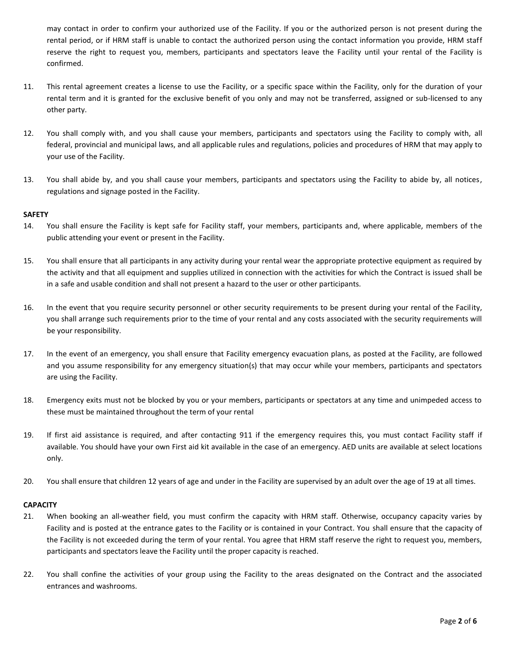may contact in order to confirm your authorized use of the Facility. If you or the authorized person is not present during the rental period, or if HRM staff is unable to contact the authorized person using the contact information you provide, HRM staff reserve the right to request you, members, participants and spectators leave the Facility until your rental of the Facility is confirmed.

- 11. This rental agreement creates a license to use the Facility, or a specific space within the Facility, only for the duration of your rental term and it is granted for the exclusive benefit of you only and may not be transferred, assigned or sub-licensed to any other party.
- 12. You shall comply with, and you shall cause your members, participants and spectators using the Facility to comply with, all federal, provincial and municipal laws, and all applicable rules and regulations, policies and procedures of HRM that may apply to your use of the Facility.
- 13. You shall abide by, and you shall cause your members, participants and spectators using the Facility to abide by, all notices, regulations and signage posted in the Facility.

## **SAFETY**

- 14. You shall ensure the Facility is kept safe for Facility staff, your members, participants and, where applicable, members of the public attending your event or present in the Facility.
- 15. You shall ensure that all participants in any activity during your rental wear the appropriate protective equipment as required by the activity and that all equipment and supplies utilized in connection with the activities for which the Contract is issued shall be in a safe and usable condition and shall not present a hazard to the user or other participants.
- 16. In the event that you require security personnel or other security requirements to be present during your rental of the Facility, you shall arrange such requirements prior to the time of your rental and any costs associated with the security requirements will be your responsibility.
- 17. In the event of an emergency, you shall ensure that Facility emergency evacuation plans, as posted at the Facility, are followed and you assume responsibility for any emergency situation(s) that may occur while your members, participants and spectators are using the Facility.
- 18. Emergency exits must not be blocked by you or your members, participants or spectators at any time and unimpeded access to these must be maintained throughout the term of your rental
- 19. If first aid assistance is required, and after contacting 911 if the emergency requires this, you must contact Facility staff if available. You should have your own First aid kit available in the case of an emergency. AED units are available at select locations only.
- 20. You shall ensure that children 12 years of age and under in the Facility are supervised by an adult over the age of 19 at all times.

## **CAPACITY**

- 21. When booking an all-weather field, you must confirm the capacity with HRM staff. Otherwise, occupancy capacity varies by Facility and is posted at the entrance gates to the Facility or is contained in your Contract. You shall ensure that the capacity of the Facility is not exceeded during the term of your rental. You agree that HRM staff reserve the right to request you, members, participants and spectators leave the Facility until the proper capacity is reached.
- 22. You shall confine the activities of your group using the Facility to the areas designated on the Contract and the associated entrances and washrooms.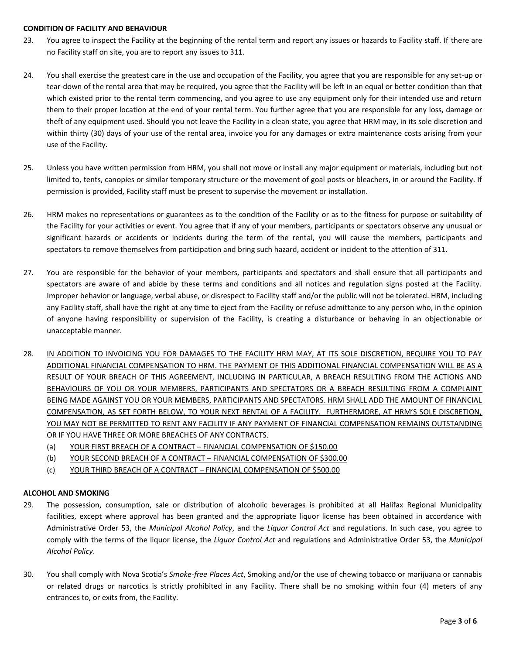#### **CONDITION OF FACILITY AND BEHAVIOUR**

- 23. You agree to inspect the Facility at the beginning of the rental term and report any issues or hazards to Facility staff. If there are no Facility staff on site, you are to report any issues to 311.
- 24. You shall exercise the greatest care in the use and occupation of the Facility, you agree that you are responsible for any set-up or tear-down of the rental area that may be required, you agree that the Facility will be left in an equal or better condition than that which existed prior to the rental term commencing, and you agree to use any equipment only for their intended use and return them to their proper location at the end of your rental term. You further agree that you are responsible for any loss, damage or theft of any equipment used. Should you not leave the Facility in a clean state, you agree that HRM may, in its sole discretion and within thirty (30) days of your use of the rental area, invoice you for any damages or extra maintenance costs arising from your use of the Facility.
- 25. Unless you have written permission from HRM, you shall not move or install any major equipment or materials, including but not limited to, tents, canopies or similar temporary structure or the movement of goal posts or bleachers, in or around the Facility. If permission is provided, Facility staff must be present to supervise the movement or installation.
- 26. HRM makes no representations or guarantees as to the condition of the Facility or as to the fitness for purpose or suitability of the Facility for your activities or event. You agree that if any of your members, participants or spectators observe any unusual or significant hazards or accidents or incidents during the term of the rental, you will cause the members, participants and spectators to remove themselves from participation and bring such hazard, accident or incident to the attention of 311.
- 27. You are responsible for the behavior of your members, participants and spectators and shall ensure that all participants and spectators are aware of and abide by these terms and conditions and all notices and regulation signs posted at the Facility. Improper behavior or language, verbal abuse, or disrespect to Facility staff and/or the public will not be tolerated. HRM, including any Facility staff, shall have the right at any time to eject from the Facility or refuse admittance to any person who, in the opinion of anyone having responsibility or supervision of the Facility, is creating a disturbance or behaving in an objectionable or unacceptable manner.
- 28. IN ADDITION TO INVOICING YOU FOR DAMAGES TO THE FACILITY HRM MAY, AT ITS SOLE DISCRETION, REQUIRE YOU TO PAY ADDITIONAL FINANCIAL COMPENSATION TO HRM. THE PAYMENT OF THIS ADDITIONAL FINANCIAL COMPENSATION WILL BE AS A RESULT OF YOUR BREACH OF THIS AGREEMENT, INCLUDING IN PARTICULAR, A BREACH RESULTING FROM THE ACTIONS AND BEHAVIOURS OF YOU OR YOUR MEMBERS, PARTICIPANTS AND SPECTATORS OR A BREACH RESULTING FROM A COMPLAINT BEING MADE AGAINST YOU OR YOUR MEMBERS, PARTICIPANTS AND SPECTATORS. HRM SHALL ADD THE AMOUNT OF FINANCIAL COMPENSATION, AS SET FORTH BELOW, TO YOUR NEXT RENTAL OF A FACILITY. FURTHERMORE, AT HRM'S SOLE DISCRETION, YOU MAY NOT BE PERMITTED TO RENT ANY FACILITY IF ANY PAYMENT OF FINANCIAL COMPENSATION REMAINS OUTSTANDING OR IF YOU HAVE THREE OR MORE BREACHES OF ANY CONTRACTS.
	- (a) YOUR FIRST BREACH OF A CONTRACT FINANCIAL COMPENSATION OF \$150.00
	- (b) YOUR SECOND BREACH OF A CONTRACT FINANCIAL COMPENSATION OF \$300.00
	- (c) YOUR THIRD BREACH OF A CONTRACT FINANCIAL COMPENSATION OF \$500.00

## **ALCOHOL AND SMOKING**

- 29. The possession, consumption, sale or distribution of alcoholic beverages is prohibited at all Halifax Regional Municipality facilities, except where approval has been granted and the appropriate liquor license has been obtained in accordance with Administrative Order 53, the *Municipal Alcohol Policy*, and the *Liquor Control Act* and regulations. In such case, you agree to comply with the terms of the liquor license, the *Liquor Control Act* and regulations and Administrative Order 53, the *Municipal Alcohol Policy*.
- 30. You shall comply with Nova Scotia's *Smoke-free Places Act*, Smoking and/or the use of chewing tobacco or marijuana or cannabis or related drugs or narcotics is strictly prohibited in any Facility. There shall be no smoking within four (4) meters of any entrances to, or exits from, the Facility.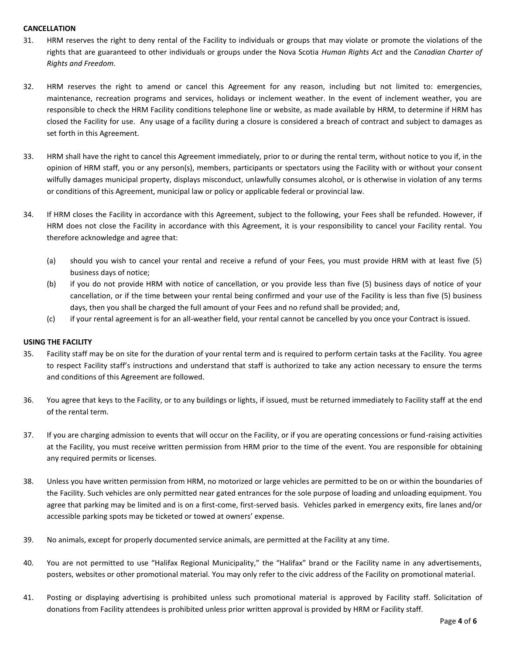### **CANCELLATION**

- 31. HRM reserves the right to deny rental of the Facility to individuals or groups that may violate or promote the violations of the rights that are guaranteed to other individuals or groups under the Nova Scotia *Human Rights Act* and the *Canadian Charter of Rights and Freedom*.
- 32. HRM reserves the right to amend or cancel this Agreement for any reason, including but not limited to: emergencies, maintenance, recreation programs and services, holidays or inclement weather. In the event of inclement weather, you are responsible to check the HRM Facility conditions telephone line or website, as made available by HRM, to determine if HRM has closed the Facility for use. Any usage of a facility during a closure is considered a breach of contract and subject to damages as set forth in this Agreement.
- 33. HRM shall have the right to cancel this Agreement immediately, prior to or during the rental term, without notice to you if, in the opinion of HRM staff, you or any person(s), members, participants or spectators using the Facility with or without your consent wilfully damages municipal property, displays misconduct, unlawfully consumes alcohol, or is otherwise in violation of any terms or conditions of this Agreement, municipal law or policy or applicable federal or provincial law.
- 34. If HRM closes the Facility in accordance with this Agreement, subject to the following, your Fees shall be refunded. However, if HRM does not close the Facility in accordance with this Agreement, it is your responsibility to cancel your Facility rental. You therefore acknowledge and agree that:
	- (a) should you wish to cancel your rental and receive a refund of your Fees, you must provide HRM with at least five (5) business days of notice;
	- (b) if you do not provide HRM with notice of cancellation, or you provide less than five (5) business days of notice of your cancellation, or if the time between your rental being confirmed and your use of the Facility is less than five (5) business days, then you shall be charged the full amount of your Fees and no refund shall be provided; and,
	- (c) if your rental agreement is for an all-weather field, your rental cannot be cancelled by you once your Contract is issued.

## **USING THE FACILITY**

- 35. Facility staff may be on site for the duration of your rental term and is required to perform certain tasks at the Facility. You agree to respect Facility staff's instructions and understand that staff is authorized to take any action necessary to ensure the terms and conditions of this Agreement are followed.
- 36. You agree that keys to the Facility, or to any buildings or lights, if issued, must be returned immediately to Facility staff at the end of the rental term.
- 37. If you are charging admission to events that will occur on the Facility, or if you are operating concessions or fund-raising activities at the Facility, you must receive written permission from HRM prior to the time of the event. You are responsible for obtaining any required permits or licenses.
- 38. Unless you have written permission from HRM, no motorized or large vehicles are permitted to be on or within the boundaries of the Facility. Such vehicles are only permitted near gated entrances for the sole purpose of loading and unloading equipment. You agree that parking may be limited and is on a first-come, first-served basis. Vehicles parked in emergency exits, fire lanes and/or accessible parking spots may be ticketed or towed at owners' expense.
- 39. No animals, except for properly documented service animals, are permitted at the Facility at any time.
- 40. You are not permitted to use "Halifax Regional Municipality," the "Halifax" brand or the Facility name in any advertisements, posters, websites or other promotional material. You may only refer to the civic address of the Facility on promotional material.
- 41. Posting or displaying advertising is prohibited unless such promotional material is approved by Facility staff. Solicitation of donations from Facility attendees is prohibited unless prior written approval is provided by HRM or Facility staff.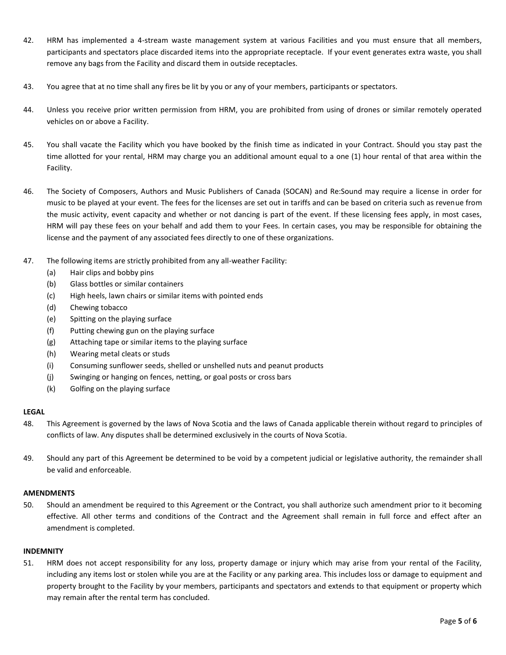- 42. HRM has implemented a 4-stream waste management system at various Facilities and you must ensure that all members, participants and spectators place discarded items into the appropriate receptacle. If your event generates extra waste, you shall remove any bags from the Facility and discard them in outside receptacles.
- 43. You agree that at no time shall any fires be lit by you or any of your members, participants or spectators.
- 44. Unless you receive prior written permission from HRM, you are prohibited from using of drones or similar remotely operated vehicles on or above a Facility.
- 45. You shall vacate the Facility which you have booked by the finish time as indicated in your Contract. Should you stay past the time allotted for your rental, HRM may charge you an additional amount equal to a one (1) hour rental of that area within the Facility.
- 46. The Society of Composers, Authors and Music Publishers of Canada (SOCAN) and Re:Sound may require a license in order for music to be played at your event. The fees for the licenses are set out in tariffs and can be based on criteria such as revenue from the music activity, event capacity and whether or not dancing is part of the event. If these licensing fees apply, in most cases, HRM will pay these fees on your behalf and add them to your Fees. In certain cases, you may be responsible for obtaining the license and the payment of any associated fees directly to one of these organizations.
- 47. The following items are strictly prohibited from any all-weather Facility:
	- (a) Hair clips and bobby pins
	- (b) Glass bottles or similar containers
	- (c) High heels, lawn chairs or similar items with pointed ends
	- (d) Chewing tobacco
	- (e) Spitting on the playing surface
	- (f) Putting chewing gun on the playing surface
	- (g) Attaching tape or similar items to the playing surface
	- (h) Wearing metal cleats or studs
	- (i) Consuming sunflower seeds, shelled or unshelled nuts and peanut products
	- (j) Swinging or hanging on fences, netting, or goal posts or cross bars
	- (k) Golfing on the playing surface

## **LEGAL**

- 48. This Agreement is governed by the laws of Nova Scotia and the laws of Canada applicable therein without regard to principles of conflicts of law. Any disputes shall be determined exclusively in the courts of Nova Scotia.
- 49. Should any part of this Agreement be determined to be void by a competent judicial or legislative authority, the remainder shall be valid and enforceable.

## **AMENDMENTS**

50. Should an amendment be required to this Agreement or the Contract, you shall authorize such amendment prior to it becoming effective. All other terms and conditions of the Contract and the Agreement shall remain in full force and effect after an amendment is completed.

## **INDEMNITY**

51. HRM does not accept responsibility for any loss, property damage or injury which may arise from your rental of the Facility, including any items lost or stolen while you are at the Facility or any parking area. This includes loss or damage to equipment and property brought to the Facility by your members, participants and spectators and extends to that equipment or property which may remain after the rental term has concluded.